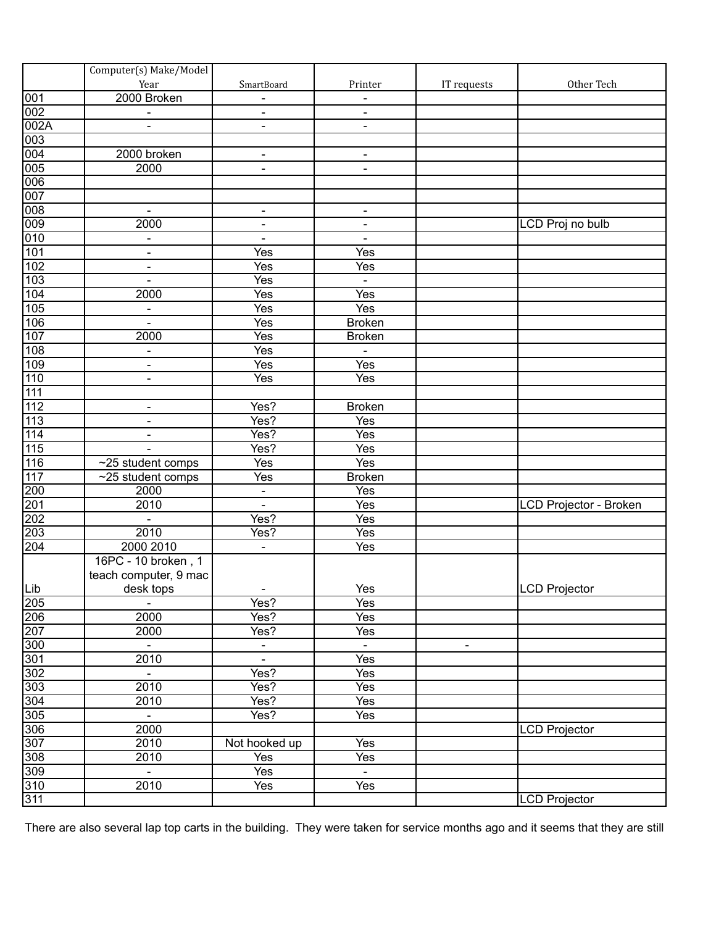|                   | Computer(s) Make/Model   |                          |                          |                              |                        |
|-------------------|--------------------------|--------------------------|--------------------------|------------------------------|------------------------|
|                   | Year                     | SmartBoard               | Printer                  | IT requests                  | Other Tech             |
| $\overline{001}$  | 2000 Broken              |                          |                          |                              |                        |
| 002               | $\blacksquare$           |                          |                          |                              |                        |
| 002A              |                          | $\blacksquare$           | $\overline{\phantom{a}}$ |                              |                        |
| $\overline{003}$  |                          |                          |                          |                              |                        |
|                   | 2000 broken              | $\overline{\phantom{a}}$ | $\overline{\phantom{a}}$ |                              |                        |
| $\frac{004}{005}$ | 2000                     | $\blacksquare$           | $\blacksquare$           |                              |                        |
| 006               |                          |                          |                          |                              |                        |
| 007               |                          |                          |                          |                              |                        |
| 008               | $\blacksquare$           | $\blacksquare$           | $\overline{\phantom{a}}$ |                              |                        |
| 009               | 2000                     |                          |                          |                              | LCD Proj no bulb       |
| 010               |                          | $\blacksquare$           |                          |                              |                        |
|                   | $\overline{\phantom{a}}$ |                          |                          |                              |                        |
| 101               |                          | Yes                      | Yes                      |                              |                        |
| 102               | $\overline{\phantom{a}}$ | Yes                      | <b>Yes</b>               |                              |                        |
| 103               | $\overline{\phantom{a}}$ | Yes                      | $\blacksquare$           |                              |                        |
| 104               | 2000                     | Yes                      | Yes                      |                              |                        |
| $\overline{105}$  | $\overline{\phantom{a}}$ | Yes                      | <b>Yes</b>               |                              |                        |
| 106               |                          | Yes                      | <b>Broken</b>            |                              |                        |
| 107               | 2000                     | Yes                      | <b>Broken</b>            |                              |                        |
| 108               | $\overline{\phantom{a}}$ | Yes                      | $\blacksquare$           |                              |                        |
| 109               | $\overline{\phantom{a}}$ | Yes                      | <b>Yes</b>               |                              |                        |
| 110               | $\overline{\phantom{a}}$ | Yes                      | $\overline{Yes}$         |                              |                        |
| $\overline{111}$  |                          |                          |                          |                              |                        |
| $\overline{112}$  |                          | Yes?                     | <b>Broken</b>            |                              |                        |
| $\overline{113}$  |                          | Yes?                     | Yes                      |                              |                        |
| $\overline{114}$  |                          | Yes?                     | <b>Yes</b>               |                              |                        |
| $\overline{115}$  |                          | Yes?                     | <b>Yes</b>               |                              |                        |
| 116               | ~25 student comps        | Yes                      | <b>Yes</b>               |                              |                        |
| 117               | ~25 student comps        | Yes                      | <b>Broken</b>            |                              |                        |
| 200               | 2000                     | $\blacksquare$           | Yes                      |                              |                        |
| 201               | 2010                     | $\Box$                   | <b>Yes</b>               |                              | LCD Projector - Broken |
| 202               |                          | Yes?                     | Yes                      |                              |                        |
| 203               | 2010                     | Yes?                     | Yes                      |                              |                        |
| 204               | 2000 2010                | $\blacksquare$           | Yes                      |                              |                        |
|                   | 16PC - 10 broken, 1      |                          |                          |                              |                        |
|                   | teach computer, 9 mac    |                          |                          |                              |                        |
| Lib               | desk tops                | $\blacksquare$           | Yes                      |                              | <b>LCD Projector</b>   |
|                   | $\sim$                   | Yes?                     | Yes                      |                              |                        |
| $\frac{205}{206}$ | 2000                     | Yes?                     | $\overline{Yes}$         |                              |                        |
|                   | 2000                     | Yes?                     | Yes                      |                              |                        |
|                   | $\blacksquare$           | $\overline{\phantom{a}}$ | $\blacksquare$           | $\qquad \qquad \blacksquare$ |                        |
|                   | 2010                     | $\blacksquare$           | Yes                      |                              |                        |
|                   | $\blacksquare$           | Yes?                     | Yes                      |                              |                        |
|                   | 2010                     | Yes?                     | Yes                      |                              |                        |
|                   |                          |                          | Yes                      |                              |                        |
|                   | 2010                     | Yes?                     |                          |                              |                        |
|                   | $\blacksquare$           | Yes?                     | $\overline{Yes}$         |                              |                        |
|                   | 2000                     |                          |                          |                              | <b>LCD Projector</b>   |
|                   | 2010                     | Not hooked up            | Yes                      |                              |                        |
|                   | 2010                     | Yes                      | $\overline{Yes}$         |                              |                        |
|                   | $\blacksquare$           | Yes                      | $\blacksquare$           |                              |                        |
| 310               | 2010                     | Yes                      | $\overline{Yes}$         |                              |                        |
| 311               |                          |                          |                          |                              | <b>LCD Projector</b>   |

There are also several lap top carts in the building. They were taken for service months ago and it seems that they are still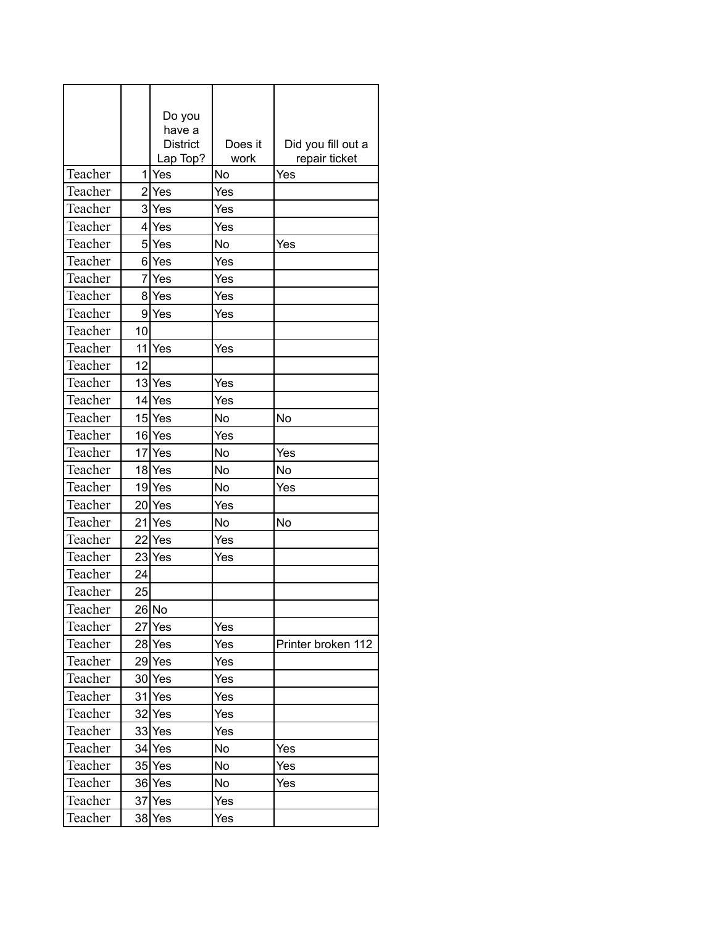|         |                | Do you<br>have a<br><b>District</b><br>Lap Top? | Does it<br>work | Did you fill out a<br>repair ticket |
|---------|----------------|-------------------------------------------------|-----------------|-------------------------------------|
| Teacher | 1              | Yes                                             | No              | Yes                                 |
| Teacher | $\overline{2}$ | Yes                                             | Yes             |                                     |
| Teacher |                | 3 Yes                                           | Yes             |                                     |
| Teacher |                | 4 Yes                                           | Yes             |                                     |
| Teacher |                | 5lYes                                           | No              | Yes                                 |
| Teacher |                | 6 Yes                                           | Yes             |                                     |
| Teacher | 7              | Yes                                             | Yes             |                                     |
| Teacher |                | 8 Yes                                           | Yes             |                                     |
| Teacher |                | 9 Yes                                           | Yes             |                                     |
| Teacher | 10             |                                                 |                 |                                     |
| Teacher |                | 11 <sub>Yes</sub>                               | Yes             |                                     |
| Teacher | 12             |                                                 |                 |                                     |
| Teacher |                | 13 Yes                                          | Yes             |                                     |
| Teacher |                | $14$ Yes                                        | Yes             |                                     |
| Teacher |                | 15 Yes                                          | No              | No                                  |
| Teacher |                | 16 Yes                                          | Yes             |                                     |
| Teacher |                | 17 Yes                                          | No              | Yes                                 |
| Teacher |                | 18 Yes                                          | No              | No                                  |
| Teacher |                | $19$ <sup>Yes</sup>                             | No              | Yes                                 |
| Teacher |                | 20 Yes                                          | Yes             |                                     |
| Teacher |                | 21 Yes                                          | No              | No                                  |
| Teacher |                | 22 Yes                                          | Yes             |                                     |
| Teacher |                |                                                 |                 |                                     |
| Teacher |                | 23 Yes                                          | Yes             |                                     |
|         | 24             |                                                 |                 |                                     |
| Teacher | 25             |                                                 |                 |                                     |
| Teacher |                | 26 No                                           |                 |                                     |
| Teacher |                | 27 Yes                                          | Yes             |                                     |
| Teacher |                | 28 Yes                                          | Yes             | Printer broken 112                  |
| Teacher |                | 29 Yes                                          | Yes             |                                     |
| Teacher |                | 30 Yes                                          | Yes             |                                     |
| Teacher |                | 31 Yes                                          | Yes             |                                     |
| Teacher |                | 32 Yes                                          | Yes             |                                     |
| Teacher |                | 33 Yes                                          | Yes             |                                     |
| Teacher |                | 34 Yes                                          | No              | Yes                                 |
| Teacher |                | 35 Yes                                          | No              | Yes                                 |
| Teacher |                | 36 Yes                                          | No              | Yes                                 |
| Teacher |                | 37 Yes                                          | Yes             |                                     |
| Teacher |                | 38 Yes                                          | Yes             |                                     |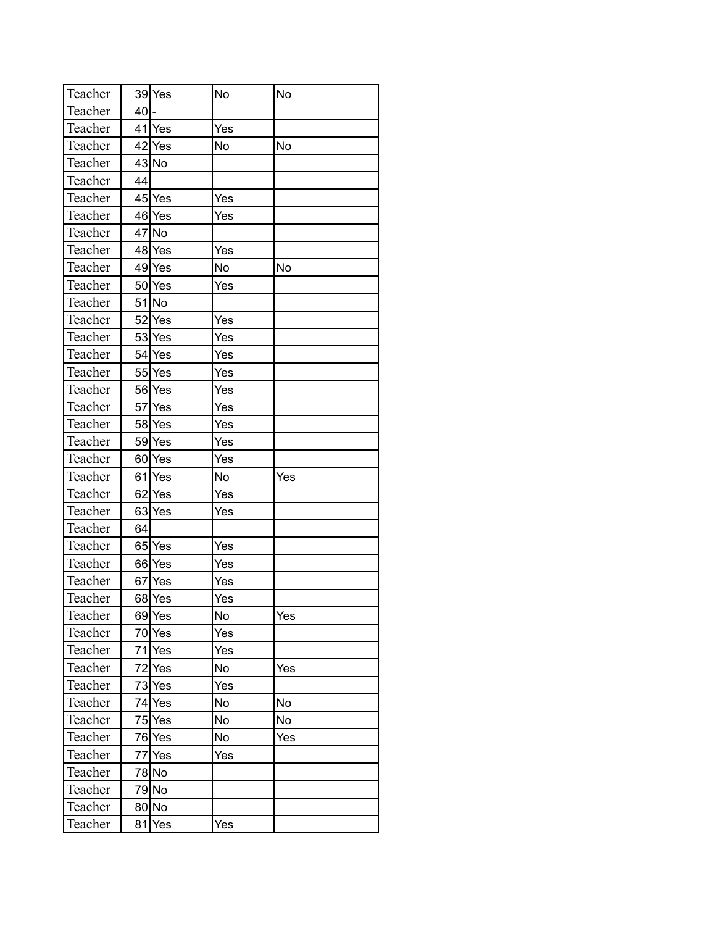| Teacher |     | 39 Yes | No  | No  |
|---------|-----|--------|-----|-----|
| Teacher | 40  |        |     |     |
| Teacher |     | 41 Yes | Yes |     |
| Teacher |     | 42 Yes | No  | No  |
| Teacher |     | 43 No  |     |     |
| Teacher | 44  |        |     |     |
| Teacher | 45  | Yes    | Yes |     |
| Teacher |     | 46 Yes | Yes |     |
| Teacher |     | 47 No  |     |     |
| Teacher |     | 48 Yes | Yes |     |
| Teacher |     | 49 Yes | No  | No  |
| Teacher | 50  | Yes    | Yes |     |
| Teacher |     | 51 No  |     |     |
| Teacher | 52  | Yes    | Yes |     |
| Teacher |     | 53 Yes | Yes |     |
| Teacher |     | 54 Yes | Yes |     |
| Teacher |     | 55 Yes | Yes |     |
| Teacher |     | 56 Yes | Yes |     |
| Teacher | 571 | Yes    | Yes |     |
| Teacher |     | 58 Yes | Yes |     |
| Teacher |     | 59 Yes | Yes |     |
| Teacher |     | 60 Yes | Yes |     |
| Teacher | 61  | Yes    | No  | Yes |
| Teacher | 62  | Yes    | Yes |     |
| Teacher |     | 63 Yes | Yes |     |
| Teacher | 64  |        |     |     |
| Teacher |     | 65 Yes | Yes |     |
| Teacher |     | 66 Yes | Yes |     |
| Teacher |     | 67 Yes | Yes |     |
| Teacher |     | 68 Yes | Yes |     |
| Teacher |     | 69 Yes | No  | Yes |
| Teacher |     | 70 Yes | Yes |     |
| Teacher |     | 71 Yes | Yes |     |
| Teacher |     | 72 Yes | No  | Yes |
| Teacher |     | 73 Yes | Yes |     |
| Teacher |     | 74 Yes | No  | No  |
| Teacher | 75  | Yes    | No  | No  |
| Teacher |     | 76 Yes | No  | Yes |
| Teacher | 77  | Yes    | Yes |     |
| Teacher |     | 78 No  |     |     |
| Teacher |     | 79 No  |     |     |
| Teacher |     | 80 No  |     |     |
| Teacher | 81  | Yes    | Yes |     |